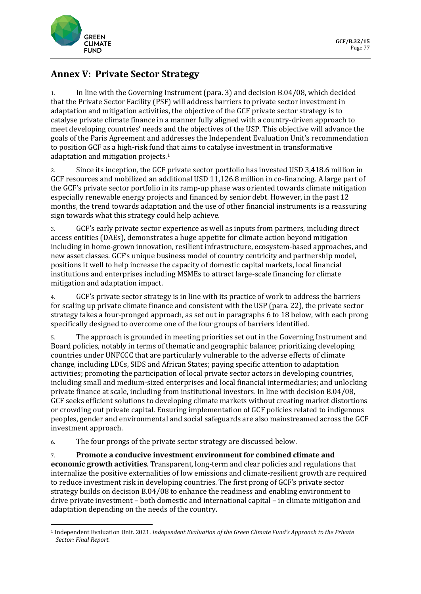

## **Annex V: Private Sector Strategy**

1. In line with the Governing Instrument (para. 3) and decision B.04/08, which decided that the Private Sector Facility (PSF) will address barriers to private sector investment in adaptation and mitigation activities, the objective of the GCF private sector strategy is to catalyse private climate finance in a manner fully aligned with a country-driven approach to meet developing countries' needs and the objectives of the USP. This objective will advance the goals of the Paris Agreement and addresses the Independent Evaluation Unit's recommendation to position GCF as a high-risk fund that aims to catalyse investment in transformative adaptation and mitigation projects.[1](#page-0-0)

2. Since its inception, the GCF private sector portfolio has invested USD 3,418.6 million in GCF resources and mobilized an additional USD 11,126.8 million in co-financing. A large part of the GCF's private sector portfolio in its ramp-up phase was oriented towards climate mitigation especially renewable energy projects and financed by senior debt. However, in the past 12 months, the trend towards adaptation and the use of other financial instruments is a reassuring sign towards what this strategy could help achieve.

3. GCF's early private sector experience as well as inputs from partners, including direct access entities (DAEs), demonstrates a huge appetite for climate action beyond mitigation including in home-grown innovation, resilient infrastructure, ecosystem-based approaches, and new asset classes. GCF's unique business model of country centricity and partnership model, positions it well to help increase the capacity of domestic capital markets, local financial institutions and enterprises including MSMEs to attract large-scale financing for climate mitigation and adaptation impact.

4. GCF's private sector strategy is in line with its practice of work to address the barriers for scaling up private climate finance and consistent with the USP (para. 22), the private sector strategy takes a four-pronged approach, as set out in paragraphs 6 to 18 below, with each prong specifically designed to overcome one of the four groups of barriers identified.

5. The approach is grounded in meeting priorities set out in the Governing Instrument and Board policies, notably in terms of thematic and geographic balance; prioritizing developing countries under UNFCCC that are particularly vulnerable to the adverse effects of climate change, including LDCs, SIDS and African States; paying specific attention to adaptation activities; promoting the participation of local private sector actors in developing countries, including small and medium-sized enterprises and local financial intermediaries; and unlocking private finance at scale, including from institutional investors. In line with decision B.04/08, GCF seeks efficient solutions to developing climate markets without creating market distortions or crowding out private capital. Ensuring implementation of GCF policies related to indigenous peoples, gender and environmental and social safeguards are also mainstreamed across the GCF investment approach.

6. The four prongs of the private sector strategy are discussed below.

7. **Promote a conducive investment environment for combined climate and economic growth activities**. Transparent, long-term and clear policies and regulations that internalize the positive externalities of low emissions and climate-resilient growth are required to reduce investment risk in developing countries. The first prong of GCF's private sector strategy builds on decision B.04/08 to enhance the readiness and enabling environment to drive private investment – both domestic and international capital – in climate mitigation and adaptation depending on the needs of the country.

<span id="page-0-0"></span><sup>1</sup> Independent Evaluation Unit. 2021. *Independent Evaluation of the Green Climate Fund's Approach to the Private Sector: Final Report*.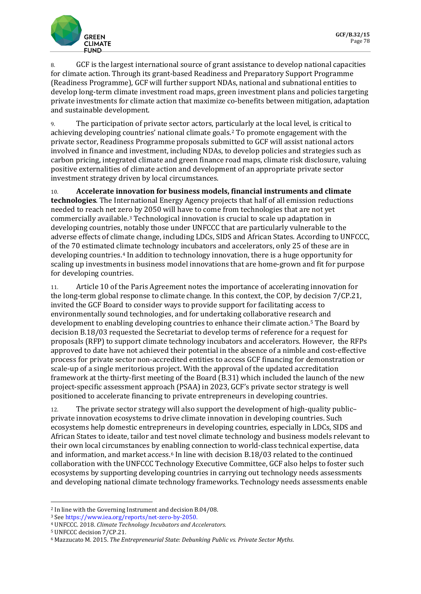

8. GCF is the largest international source of grant assistance to develop national capacities for climate action. Through its grant-based Readiness and Preparatory Support Programme (Readiness Programme), GCF will further support NDAs, national and subnational entities to develop long-term climate investment road maps, green investment plans and policies targeting private investments for climate action that maximize co-benefits between mitigation, adaptation and sustainable development.

9. The participation of private sector actors, particularly at the local level, is critical to achieving developing countries' national climate goals.[2](#page-1-0) To promote engagement with the private sector, Readiness Programme proposals submitted to GCF will assist national actors involved in finance and investment, including NDAs, to develop policies and strategies such as carbon pricing, integrated climate and green finance road maps, climate risk disclosure, valuing positive externalities of climate action and development of an appropriate private sector investment strategy driven by local circumstances.

10. **Accelerate innovation for business models, financial instruments and climate technologies**. The International Energy Agency projects that half of all emission reductions needed to reach net zero by 2050 will have to come from technologies that are not yet commercially available.[3](#page-1-1) Technological innovation is crucial to scale up adaptation in developing countries, notably those under UNFCCC that are particularly vulnerable to the adverse effects of climate change, including LDCs, SIDS and African States. According to UNFCCC, of the 70 estimated climate technology incubators and accelerators, only 25 of these are in developing countries.[4](#page-1-2) In addition to technology innovation, there is a huge opportunity for scaling up investments in business model innovations that are home-grown and fit for purpose for developing countries.

11. Article 10 of the Paris Agreement notes the importance of accelerating innovation for the long-term global response to climate change. In this context, the COP, by decision 7/CP.21, invited the GCF Board to consider ways to provide support for facilitating access to environmentally sound technologies, and for undertaking collaborative research and development to enabling developing countries to enhance their climate action.[5](#page-1-3) The Board by decision B.18/03 requested the Secretariat to develop terms of reference for a request for proposals (RFP) to support climate technology incubators and accelerators. However, the RFPs approved to date have not achieved their potential in the absence of a nimble and cost-effective process for private sector non-accredited entities to access GCF financing for demonstration or scale-up of a single meritorious project. With the approval of the updated accreditation framework at the thirty-first meeting of the Board (B.31) which included the launch of the new project-specific assessment approach (PSAA) in 2023, GCF's private sector strategy is well positioned to accelerate financing to private entrepreneurs in developing countries.

12. The private sector strategy will also support the development of high-quality public– private innovation ecosystems to drive climate innovation in developing countries. Such ecosystems help domestic entrepreneurs in developing countries, especially in LDCs, SIDS and African States to ideate, tailor and test novel climate technology and business models relevant to their own local circumstances by enabling connection to world-class technical expertise, data and information, and market access.[6](#page-1-4) In line with decision B.18/03 related to the continued collaboration with the UNFCCC Technology Executive Committee, GCF also helps to foster such ecosystems by supporting developing countries in carrying out technology needs assessments and developing national climate technology frameworks. Technology needs assessments enable

<span id="page-1-0"></span><sup>2</sup> In line with the Governing Instrument and decision B.04/08.

<span id="page-1-1"></span><sup>3</sup> Se[e https://www.iea.org/reports/net-zero-by-2050.](https://www.iea.org/reports/net-zero-by-2050)

<span id="page-1-2"></span><sup>4</sup> UNFCCC. 2018. *Climate Technology Incubators and Accelerators*. 5 UNFCCC decision 7/CP.21.

<span id="page-1-3"></span>

<span id="page-1-4"></span><sup>6</sup> Mazzucato M. 2015. *The Entrepreneurial State: Debunking Public vs. Private Sector Myths*.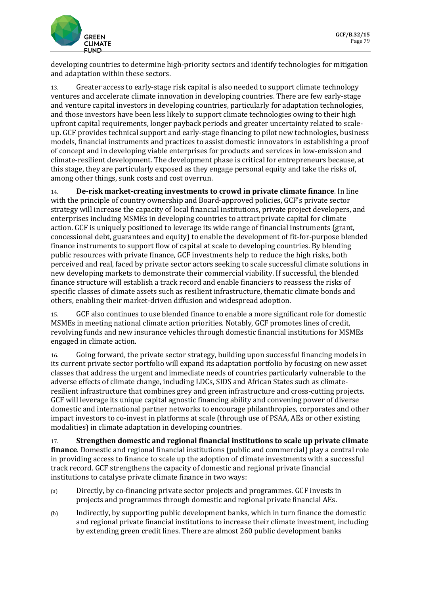

developing countries to determine high-priority sectors and identify technologies for mitigation and adaptation within these sectors.

13. Greater access to early-stage risk capital is also needed to support climate technology ventures and accelerate climate innovation in developing countries. There are few early-stage and venture capital investors in developing countries, particularly for adaptation technologies, and those investors have been less likely to support climate technologies owing to their high upfront capital requirements, longer payback periods and greater uncertainty related to scaleup. GCF provides technical support and early-stage financing to pilot new technologies, business models, financial instruments and practices to assist domestic innovators in establishing a proof of concept and in developing viable enterprises for products and services in low-emission and climate-resilient development. The development phase is critical for entrepreneurs because, at this stage, they are particularly exposed as they engage personal equity and take the risks of, among other things, sunk costs and cost overrun.

14. **De-risk market-creating investments to crowd in private climate finance**. In line with the principle of country ownership and Board-approved policies, GCF's private sector strategy will increase the capacity of local financial institutions, private project developers, and enterprises including MSMEs in developing countries to attract private capital for climate action. GCF is uniquely positioned to leverage its wide range of financial instruments (grant, concessional debt, guarantees and equity) to enable the development of fit-for-purpose blended finance instruments to support flow of capital at scale to developing countries. By blending public resources with private finance, GCF investments help to reduce the high risks, both perceived and real, faced by private sector actors seeking to scale successful climate solutions in new developing markets to demonstrate their commercial viability. If successful, the blended finance structure will establish a track record and enable financiers to reassess the risks of specific classes of climate assets such as resilient infrastructure, thematic climate bonds and others, enabling their market-driven diffusion and widespread adoption.

15. GCF also continues to use blended finance to enable a more significant role for domestic MSMEs in meeting national climate action priorities. Notably, GCF promotes lines of credit, revolving funds and new insurance vehicles through domestic financial institutions for MSMEs engaged in climate action.

16. Going forward, the private sector strategy, building upon successful financing models in its current private sector portfolio will expand its adaptation portfolio by focusing on new asset classes that address the urgent and immediate needs of countries particularly vulnerable to the adverse effects of climate change, including LDCs, SIDS and African States such as climateresilient infrastructure that combines grey and green infrastructure and cross-cutting projects. GCF will leverage its unique capital agnostic financing ability and convening power of diverse domestic and international partner networks to encourage philanthropies, corporates and other impact investors to co-invest in platforms at scale (through use of PSAA, AEs or other existing modalities) in climate adaptation in developing countries.

17. **Strengthen domestic and regional financial institutions to scale up private climate finance**. Domestic and regional financial institutions (public and commercial) play a central role in providing access to finance to scale up the adoption of climate investments with a successful track record. GCF strengthens the capacity of domestic and regional private financial institutions to catalyse private climate finance in two ways:

- (a) Directly, by co-financing private sector projects and programmes. GCF invests in projects and programmes through domestic and regional private financial AEs.
- (b) Indirectly, by supporting public development banks, which in turn finance the domestic and regional private financial institutions to increase their climate investment, including by extending green credit lines. There are almost 260 public development banks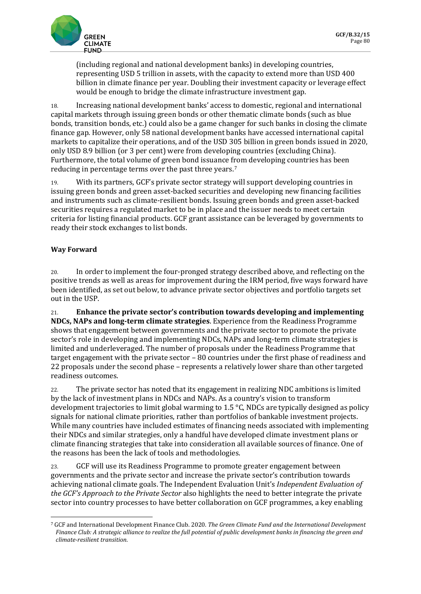

(including regional and national development banks) in developing countries, representing USD 5 trillion in assets, with the capacity to extend more than USD 400 billion in climate finance per year. Doubling their investment capacity or leverage effect would be enough to bridge the climate infrastructure investment gap.

18. Increasing national development banks' access to domestic, regional and international capital markets through issuing green bonds or other thematic climate bonds (such as blue bonds, transition bonds, etc.) could also be a game changer for such banks in closing the climate finance gap. However, only 58 national development banks have accessed international capital markets to capitalize their operations, and of the USD 305 billion in green bonds issued in 2020, only USD 8.9 billion (or 3 per cent) were from developing countries (excluding China). Furthermore, the total volume of green bond issuance from developing countries has been reducing in percentage terms over the past three years.[7](#page-3-0)

19. With its partners, GCF's private sector strategy will support developing countries in issuing green bonds and green asset-backed securities and developing new financing facilities and instruments such as climate-resilient bonds. Issuing green bonds and green asset-backed securities requires a regulated market to be in place and the issuer needs to meet certain criteria for listing financial products. GCF grant assistance can be leveraged by governments to ready their stock exchanges to list bonds.

## **Way Forward**

20. In order to implement the four-pronged strategy described above, and reflecting on the positive trends as well as areas for improvement during the IRM period, five ways forward have been identified, as set out below, to advance private sector objectives and portfolio targets set out in the USP.

21. **Enhance the private sector's contribution towards developing and implementing NDCs, NAPs and long-term climate strategies**. Experience from the Readiness Programme shows that engagement between governments and the private sector to promote the private sector's role in developing and implementing NDCs, NAPs and long-term climate strategies is limited and underleveraged. The number of proposals under the Readiness Programme that target engagement with the private sector – 80 countries under the first phase of readiness and 22 proposals under the second phase – represents a relatively lower share than other targeted readiness outcomes.

22. The private sector has noted that its engagement in realizing NDC ambitions is limited by the lack of investment plans in NDCs and NAPs. As a country's vision to transform development trajectories to limit global warming to 1.5  $\degree$ C, NDCs are typically designed as policy signals for national climate priorities, rather than portfolios of bankable investment projects. While many countries have included estimates of financing needs associated with implementing their NDCs and similar strategies, only a handful have developed climate investment plans or climate financing strategies that take into consideration all available sources of finance. One of the reasons has been the lack of tools and methodologies.

23. GCF will use its Readiness Programme to promote greater engagement between governments and the private sector and increase the private sector's contribution towards achieving national climate goals. The Independent Evaluation Unit's *Independent Evaluation of the GCF's Approach to the Private Sector* also highlights the need to better integrate the private sector into country processes to have better collaboration on GCF programmes, a key enabling

<span id="page-3-0"></span><sup>7</sup> GCF and International Development Finance Club. 2020. *The Green Climate Fund and the International Development Finance Club: A strategic alliance to realize the full potential of public development banks in financing the green and climate-resilient transition*.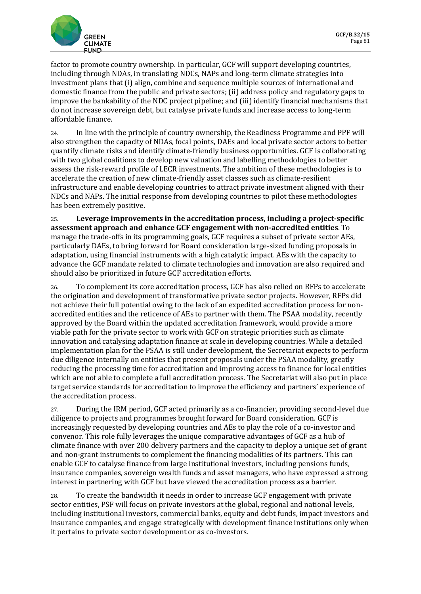

factor to promote country ownership. In particular, GCF will support developing countries, including through NDAs, in translating NDCs, NAPs and long-term climate strategies into investment plans that (i) align, combine and sequence multiple sources of international and domestic finance from the public and private sectors; (ii) address policy and regulatory gaps to improve the bankability of the NDC project pipeline; and (iii) identify financial mechanisms that do not increase sovereign debt, but catalyse private funds and increase access to long-term affordable finance.

24. In line with the principle of country ownership, the Readiness Programme and PPF will also strengthen the capacity of NDAs, focal points, DAEs and local private sector actors to better quantify climate risks and identify climate-friendly business opportunities. GCF is collaborating with two global coalitions to develop new valuation and labelling methodologies to better assess the risk-reward profile of LECR investments. The ambition of these methodologies is to accelerate the creation of new climate-friendly asset classes such as climate-resilient infrastructure and enable developing countries to attract private investment aligned with their NDCs and NAPs. The initial response from developing countries to pilot these methodologies has been extremely positive.

25. **Leverage improvements in the accreditation process, including a project-specific assessment approach and enhance GCF engagement with non-accredited entities**. To manage the trade-offs in its programming goals, GCF requires a subset of private sector AEs, particularly DAEs, to bring forward for Board consideration large-sized funding proposals in adaptation, using financial instruments with a high catalytic impact. AEs with the capacity to advance the GCF mandate related to climate technologies and innovation are also required and should also be prioritized in future GCF accreditation efforts.

26. To complement its core accreditation process, GCF has also relied on RFPs to accelerate the origination and development of transformative private sector projects. However, RFPs did not achieve their full potential owing to the lack of an expedited accreditation process for nonaccredited entities and the reticence of AEs to partner with them. The PSAA modality, recently approved by the Board within the updated accreditation framework, would provide a more viable path for the private sector to work with GCF on strategic priorities such as climate innovation and catalysing adaptation finance at scale in developing countries. While a detailed implementation plan for the PSAA is still under development, the Secretariat expects to perform due diligence internally on entities that present proposals under the PSAA modality, greatly reducing the processing time for accreditation and improving access to finance for local entities which are not able to complete a full accreditation process. The Secretariat will also put in place target service standards for accreditation to improve the efficiency and partners' experience of the accreditation process.

27. During the IRM period, GCF acted primarily as a co-financier, providing second-level due diligence to projects and programmes brought forward for Board consideration. GCF is increasingly requested by developing countries and AEs to play the role of a co-investor and convenor. This role fully leverages the unique comparative advantages of GCF as a hub of climate finance with over 200 delivery partners and the capacity to deploy a unique set of grant and non-grant instruments to complement the financing modalities of its partners. This can enable GCF to catalyse finance from large institutional investors, including pensions funds, insurance companies, sovereign wealth funds and asset managers, who have expressed a strong interest in partnering with GCF but have viewed the accreditation process as a barrier.

28. To create the bandwidth it needs in order to increase GCF engagement with private sector entities, PSF will focus on private investors at the global, regional and national levels, including institutional investors, commercial banks, equity and debt funds, impact investors and insurance companies, and engage strategically with development finance institutions only when it pertains to private sector development or as co-investors.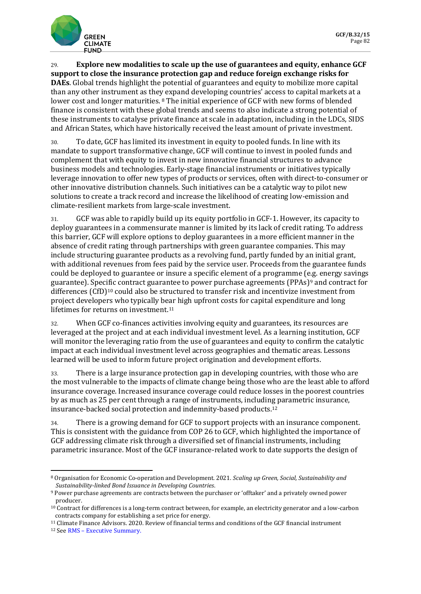

29. **Explore new modalities to scale up the use of guarantees and equity, enhance GCF support to close the insurance protection gap and reduce foreign exchange risks for DAEs**. Global trends highlight the potential of guarantees and equity to mobilize more capital than any other instrument as they expand developing countries' access to capital markets at a lower cost and longer maturities. [8](#page-5-0) The initial experience of GCF with new forms of blended finance is consistent with these global trends and seems to also indicate a strong potential of these instruments to catalyse private finance at scale in adaptation, including in the LDCs, SIDS and African States, which have historically received the least amount of private investment.

30. To date, GCF has limited its investment in equity to pooled funds. In line with its mandate to support transformative change, GCF will continue to invest in pooled funds and complement that with equity to invest in new innovative financial structures to advance business models and technologies. Early-stage financial instruments or initiatives typically leverage innovation to offer new types of products or services, often with direct-to-consumer or other innovative distribution channels. Such initiatives can be a catalytic way to pilot new solutions to create a track record and increase the likelihood of creating low-emission and climate-resilient markets from large-scale investment.

31. GCF was able to rapidly build up its equity portfolio in GCF-1. However, its capacity to deploy guarantees in a commensurate manner is limited by its lack of credit rating. To address this barrier, GCF will explore options to deploy guarantees in a more efficient manner in the absence of credit rating through partnerships with green guarantee companies. This may include structuring guarantee products as a revolving fund, partly funded by an initial grant, with additional revenues from fees paid by the service user. Proceeds from the guarantee funds could be deployed to guarantee or insure a specific element of a programme (e.g. energy savings guarantee). Specific contract guarantee to power purchase agreements (PPAs)[9](#page-5-1) and contract for differences (CfD)[10](#page-5-2) could also be structured to transfer risk and incentivize investment from project developers who typically bear high upfront costs for capital expenditure and long lifetimes for returns on investment.[11](#page-5-3)

32. When GCF co-finances activities involving equity and guarantees, its resources are leveraged at the project and at each individual investment level. As a learning institution, GCF will monitor the leveraging ratio from the use of guarantees and equity to confirm the catalytic impact at each individual investment level across geographies and thematic areas. Lessons learned will be used to inform future project origination and development efforts.

33. There is a large insurance protection gap in developing countries, with those who are the most vulnerable to the impacts of climate change being those who are the least able to afford insurance coverage. Increased insurance coverage could reduce losses in the poorest countries by as much as 25 per cent through a range of instruments, including parametric insurance, insurance-backed social protection and indemnity-based products[.12](#page-5-4)

34. There is a growing demand for GCF to support projects with an insurance component. This is consistent with the guidance from COP 26 to GCF, which highlighted the importance of GCF addressing climate risk through a diversified set of financial instruments, including parametric insurance. Most of the GCF insurance-related work to date supports the design of

<span id="page-5-0"></span><sup>8</sup> Organisation for Economic Co-operation and Development. 2021. *Scaling up Green, Social, Sustainability and* 

<span id="page-5-1"></span>*Sustainability-linked Bond Issuance in Developing Countries*. 9 Power purchase agreements are contracts between the purchaser or 'offtaker' and a privately owned power producer.

<span id="page-5-2"></span><sup>10</sup> Contract for differences is a long-term contract between, for example, an electricity generator and a low-carbon contracts company for establishing a set price for energy.

<span id="page-5-4"></span><span id="page-5-3"></span><sup>&</sup>lt;sup>11</sup> Cli[mate Finance Advisors. 2020](https://forms2.rms.com/DFID-Executive-Summary.html). Review of financial terms and conditions of the GCF financial instrument  $12$  See RMS – Executive Summary.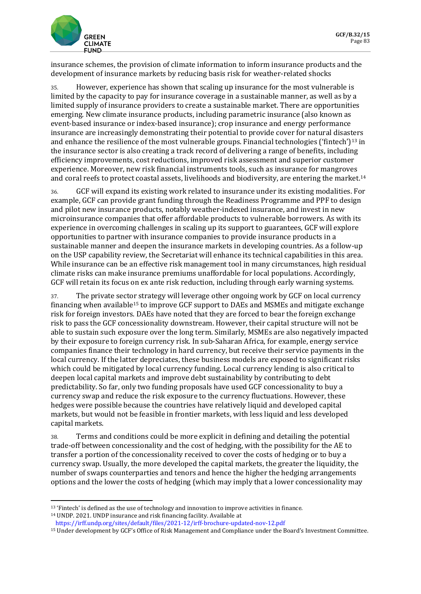

insurance schemes, the provision of climate information to inform insurance products and the development of insurance markets by reducing basis risk for weather-related shocks

35. However, experience has shown that scaling up insurance for the most vulnerable is limited by the capacity to pay for insurance coverage in a sustainable manner, as well as by a limited supply of insurance providers to create a sustainable market. There are opportunities emerging. New climate insurance products, including parametric insurance (also known as event-based insurance or index-based insurance); crop insurance and energy performance insurance are increasingly demonstrating their potential to provide cover for natural disasters and enhance the resilience of the most vulnerable groups. Financial technologies ('fintech')<sup>[13](#page-6-0)</sup> in the insurance sector is also creating a track record of delivering a range of benefits, including efficiency improvements, cost reductions, improved risk assessment and superior customer experience. Moreover, new risk financial instruments tools, such as insurance for mangroves and coral reefs to protect coastal assets, livelihoods and biodiversity, are entering the market[.14](#page-6-1)

36. GCF will expand its existing work related to insurance under its existing modalities. For example, GCF can provide grant funding through the Readiness Programme and PPF to design and pilot new insurance products, notably weather-indexed insurance, and invest in new microinsurance companies that offer affordable products to vulnerable borrowers. As with its experience in overcoming challenges in scaling up its support to guarantees, GCF will explore opportunities to partner with insurance companies to provide insurance products in a sustainable manner and deepen the insurance markets in developing countries. As a follow-up on the USP capability review, the Secretariat will enhance its technical capabilities in this area. While insurance can be an effective risk management tool in many circumstances, high residual climate risks can make insurance premiums unaffordable for local populations. Accordingly, GCF will retain its focus on ex ante risk reduction, including through early warning systems.

37. The private sector strategy will leverage other ongoing work by GCF on local currency financing when available[15](#page-6-2) to improve GCF support to DAEs and MSMEs and mitigate exchange risk for foreign investors. DAEs have noted that they are forced to bear the foreign exchange risk to pass the GCF concessionality downstream. However, their capital structure will not be able to sustain such exposure over the long term. Similarly, MSMEs are also negatively impacted by their exposure to foreign currency risk. In sub-Saharan Africa, for example, energy service companies finance their technology in hard currency, but receive their service payments in the local currency. If the latter depreciates, these business models are exposed to significant risks which could be mitigated by local currency funding. Local currency lending is also critical to deepen local capital markets and improve debt sustainability by contributing to debt predictability. So far, only two funding proposals have used GCF concessionality to buy a currency swap and reduce the risk exposure to the currency fluctuations. However, these hedges were possible because the countries have relatively liquid and developed capital markets, but would not be feasible in frontier markets, with less liquid and less developed capital markets.

38. Terms and conditions could be more explicit in defining and detailing the potential trade-off between concessionality and the cost of hedging, with the possibility for the AE to transfer a portion of the concessionality received to cover the costs of hedging or to buy a currency swap. Usually, the more developed the capital markets, the greater the liquidity, the number of swaps counterparties and tenors and hence the higher the hedging arrangements options and the lower the costs of hedging (which may imply that a lower concessionality may

<span id="page-6-1"></span><sup>14</sup> UNDP. 2021. UNDP insurance and risk financing facility. Available at

<span id="page-6-0"></span><sup>13</sup> 'Fintech' is defined as the use of technology and innovation to improve activities in finance.

<https://irff.undp.org/sites/default/files/2021-12/irff-brochure-updated-nov-12.pdf>

<span id="page-6-2"></span><sup>15</sup> Under development by GCF's Office of Risk Management and Compliance under the Board's Investment Committee.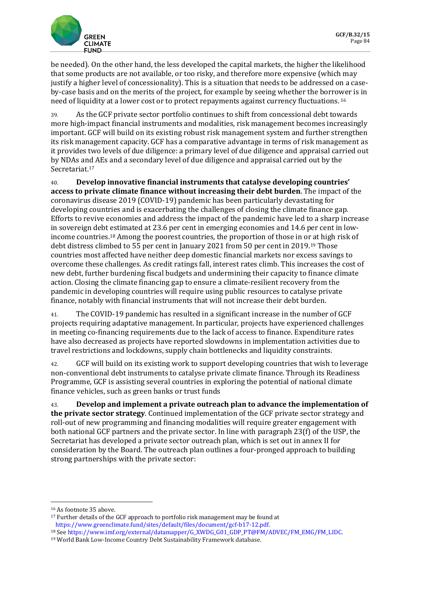

be needed). On the other hand, the less developed the capital markets, the higher the likelihood that some products are not available, or too risky, and therefore more expensive (which may justify a higher level of concessionality). This is a situation that needs to be addressed on a caseby-case basis and on the merits of the project, for example by seeing whether the borrower is in need of liquidity at a lower cost or to protect repayments against currency fluctuations. [16](#page-7-0) 

39. As the GCF private sector portfolio continues to shift from concessional debt towards more high-impact financial instruments and modalities, risk management becomes increasingly important. GCF will build on its existing robust risk management system and further strengthen its risk management capacity. GCF has a comparative advantage in terms of risk management as it provides two levels of due diligence: a primary level of due diligence and appraisal carried out by NDAs and AEs and a secondary level of due diligence and appraisal carried out by the Secretariat.[17](#page-7-1) 

40. **Develop innovative financial instruments that catalyse developing countries' access to private climate finance without increasing their debt burden**. The impact of the coronavirus disease 2019 (COVID-19) pandemic has been particularly devastating for developing countries and is exacerbating the challenges of closing the climate finance gap. Efforts to revive economies and address the impact of the pandemic have led to a sharp increase in sovereign debt estimated at 23.6 per cent in emerging economies and 14.6 per cent in lowincome countries.[18](#page-7-2) Among the poorest countries, the proportion of those in or at high risk of debt distress climbed to 55 per cent in January 2021 from 50 per cent in 2019.[19](#page-7-3) Those countries most affected have neither deep domestic financial markets nor excess savings to overcome these challenges. As credit ratings fall, interest rates climb. This increases the cost of new debt, further burdening fiscal budgets and undermining their capacity to finance climate action. Closing the climate financing gap to ensure a climate-resilient recovery from the pandemic in developing countries will require using public resources to catalyse private finance, notably with financial instruments that will not increase their debt burden.

41. The COVID-19 pandemic has resulted in a significant increase in the number of GCF projects requiring adaptative management. In particular, projects have experienced challenges in meeting co-financing requirements due to the lack of access to finance. Expenditure rates have also decreased as projects have reported slowdowns in implementation activities due to travel restrictions and lockdowns, supply chain bottlenecks and liquidity constraints.

42. GCF will build on its existing work to support developing countries that wish to leverage non-conventional debt instruments to catalyse private climate finance. Through its Readiness Programme, GCF is assisting several countries in exploring the potential of national climate finance vehicles, such as green banks or trust funds

43. **Develop and implement a private outreach plan to advance the implementation of the private sector strategy**. Continued implementation of the GCF private sector strategy and roll-out of new programming and financing modalities will require greater engagement with both national GCF partners and the private sector. In line with paragraph 23(f) of the USP, the Secretariat has developed a private sector outreach plan, which is set out in annex II for consideration by the Board. The outreach plan outlines a four-pronged approach to building strong partnerships with the private sector:

<span id="page-7-0"></span><sup>16</sup> As footnote 35 above.

<span id="page-7-1"></span><sup>&</sup>lt;sup>17</sup> Further details of the GCF approach to portfolio risk management may be found at https://www.greenclimate.fund/sites/default/files/document/gcf-b17-12.pdf.

<span id="page-7-3"></span><span id="page-7-2"></span><sup>&</sup>lt;sup>18</sup> See https://www.imf.org/external/datamapper/G\_XWDG\_G01\_GDP\_PT@FM/ADVEC/FM\_EMG/FM\_LIDC.<br><sup>19</sup> World Bank Low-Income Country Debt Sustainability Framework database.